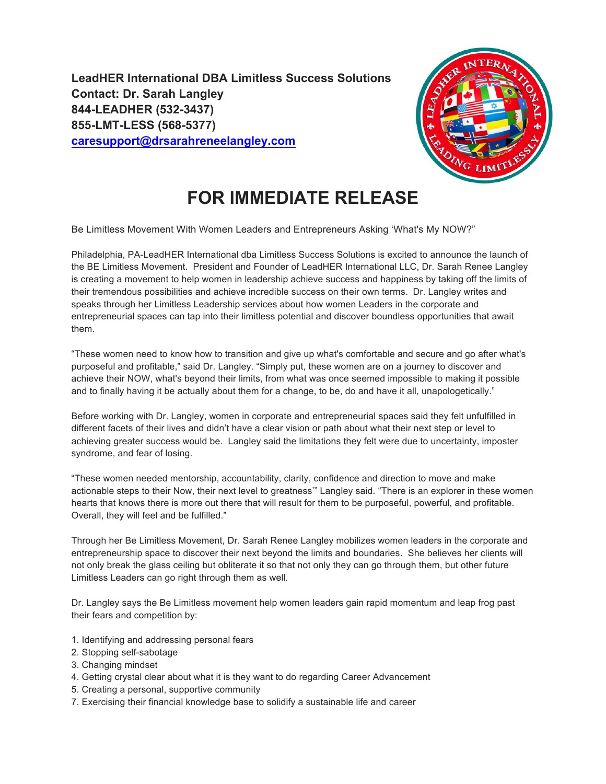**LeadHER International DBA Limitless Success Solutions Contact: Dr. Sarah Langley 844-LEADHER (532-3437) 855-LMT-LESS (568-5377) caresupport@drsarahreneelangley.com**



## **FOR IMMEDIATE RELEASE**

Be Limitless Movement With Women Leaders and Entrepreneurs Asking 'What's My NOW?"

Philadelphia, PA-LeadHER International dba Limitless Success Solutions is excited to announce the launch of the BE Limitless Movement. President and Founder of LeadHER International LLC, Dr. Sarah Renee Langley is creating a movement to help women in leadership achieve success and happiness by taking off the limits of their tremendous possibilities and achieve incredible success on their own terms. Dr. Langley writes and speaks through her Limitless Leadership services about how women Leaders in the corporate and entrepreneurial spaces can tap into their limitless potential and discover boundless opportunities that await them.

"These women need to know how to transition and give up what's comfortable and secure and go after what's purposeful and profitable," said Dr. Langley. "Simply put, these women are on a journey to discover and achieve their NOW, what's beyond their limits, from what was once seemed impossible to making it possible and to finally having it be actually about them for a change, to be, do and have it all, unapologetically."

Before working with Dr. Langley, women in corporate and entrepreneurial spaces said they felt unfulfilled in different facets of their lives and didn't have a clear vision or path about what their next step or level to achieving greater success would be. Langley said the limitations they felt were due to uncertainty, imposter syndrome, and fear of losing.

"These women needed mentorship, accountability, clarity, confidence and direction to move and make actionable steps to their Now, their next level to greatness'" Langley said. "There is an explorer in these women hearts that knows there is more out there that will result for them to be purposeful, powerful, and profitable. Overall, they will feel and be fulfilled."

Through her Be Limitless Movement, Dr. Sarah Renee Langley mobilizes women leaders in the corporate and entrepreneurship space to discover their next beyond the limits and boundaries. She believes her clients will not only break the glass ceiling but obliterate it so that not only they can go through them, but other future Limitless Leaders can go right through them as well.

Dr. Langley says the Be Limitless movement help women leaders gain rapid momentum and leap frog past their fears and competition by:

- 1. Identifying and addressing personal fears
- 2. Stopping self-sabotage
- 3. Changing mindset
- 4. Getting crystal clear about what it is they want to do regarding Career Advancement
- 5. Creating a personal, supportive community
- 7. Exercising their financial knowledge base to solidify a sustainable life and career